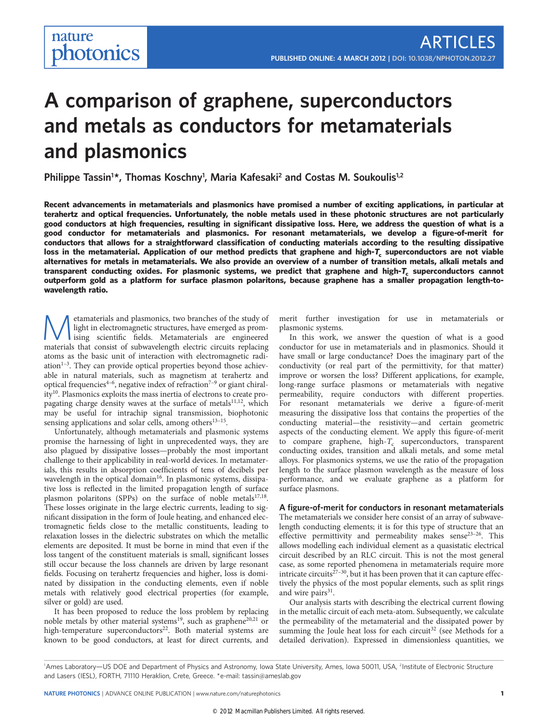# A comparison of graphene, superconductors and metals as conductors for metamaterials and plasmonics

Philippe Tassin<sup>1\*</sup>, Thomas Koschny<sup>1</sup>, Maria Kafesaki<sup>2</sup> and Costas M. Soukoulis<sup>1,2</sup>

Recent advancements in metamaterials and plasmonics have promised a number of exciting applications, in particular at terahertz and optical frequencies. Unfortunately, the noble metals used in these photonic structures are not particularly good conductors at high frequencies, resulting in significant dissipative loss. Here, we address the question of what is a good conductor for metamaterials and plasmonics. For resonant metamaterials, we develop a figure-of-merit for conductors that allows for a straightforward classification of conducting materials according to the resulting dissipative loss in the metamaterial. Application of our method predicts that graphene and high- $T_c$  superconductors are not viable alternatives for metals in metamaterials. We also provide an overview of a number of transition metals, alkali metals and transparent conducting oxides. For plasmonic systems, we predict that graphene and high- $T_c$  superconductors cannot outperform gold as a platform for surface plasmon polaritons, because graphene has a smaller propagation length-towavelength ratio.

etamaterials and plasmonics, two branches of the study of light in electromagnetic structures, have emerged as promising scientific fields. Metamaterials are engineered materials that consist of subwavelength electric circuits replacing atoms as the basic unit of interaction with electromagnetic radiation<sup>1–3</sup>. They can provide optical properties beyond those achievable in natural materials, such as magnetism at terahertz and optical frequencies<sup>4-6</sup>, negative index of refraction<sup>7-9</sup> or giant chirality10. Plasmonics exploits the mass inertia of electrons to create propagating charge density waves at the surface of metals<sup>11,12</sup>, which may be useful for intrachip signal transmission, biophotonic sensing applications and solar cells, among others $13-15$ .

Unfortunately, although metamaterials and plasmonic systems promise the harnessing of light in unprecedented ways, they are also plagued by dissipative losses—probably the most important challenge to their applicability in real-world devices. In metamaterials, this results in absorption coefficients of tens of decibels per wavelength in the optical domain<sup>16</sup>. In plasmonic systems, dissipative loss is reflected in the limited propagation length of surface plasmon polaritons (SPPs) on the surface of noble metals<sup>17,18</sup>. These losses originate in the large electric currents, leading to significant dissipation in the form of Joule heating, and enhanced electromagnetic fields close to the metallic constituents, leading to relaxation losses in the dielectric substrates on which the metallic elements are deposited. It must be borne in mind that even if the loss tangent of the constituent materials is small, significant losses still occur because the loss channels are driven by large resonant fields. Focusing on terahertz frequencies and higher, loss is dominated by dissipation in the conducting elements, even if noble metals with relatively good electrical properties (for example, silver or gold) are used.

It has been proposed to reduce the loss problem by replacing noble metals by other material systems<sup>19</sup>, such as graphene<sup>20,21</sup> or high-temperature superconductors<sup>22</sup>. Both material systems are known to be good conductors, at least for direct currents, and merit further investigation for use in metamaterials or plasmonic systems.

In this work, we answer the question of what is a good conductor for use in metamaterials and in plasmonics. Should it have small or large conductance? Does the imaginary part of the conductivity (or real part of the permittivity, for that matter) improve or worsen the loss? Different applications, for example, long-range surface plasmons or metamaterials with negative permeability, require conductors with different properties. For resonant metamaterials we derive a figure-of-merit measuring the dissipative loss that contains the properties of the conducting material—the resistivity—and certain geometric aspects of the conducting element. We apply this figure-of-merit to compare graphene, high- $T_c$  superconductors, transparent conducting oxides, transition and alkali metals, and some metal alloys. For plasmonics systems, we use the ratio of the propagation length to the surface plasmon wavelength as the measure of loss performance, and we evaluate graphene as a platform for surface plasmons.

## A figure-of-merit for conductors in resonant metamaterials

The metamaterials we consider here consist of an array of subwavelength conducting elements; it is for this type of structure that an effective permittivity and permeability makes sense $23-26$ . This allows modelling each individual element as a quasistatic electrical circuit described by an RLC circuit. This is not the most general case, as some reported phenomena in metamaterials require more intricate circuits $27-30$ , but it has been proven that it can capture effectively the physics of the most popular elements, such as split rings and wire pairs<sup>31</sup>.

Our analysis starts with describing the electrical current flowing in the metallic circuit of each meta-atom. Subsequently, we calculate the permeability of the metamaterial and the dissipated power by summing the Joule heat loss for each circuit<sup>32</sup> (see [Methods](#page-4-0) for a detailed derivation). Expressed in dimensionless quantities, we

<sup>&</sup>lt;sup>1</sup>Ames Laboratory—US DOE and Department of Physics and Astronomy, Iowa State University, Ames, Iowa 50011, USA, <sup>2</sup>Institute of Electronic Structure and Lasers (IESL), FORTH, 71110 Heraklion, Crete, Greece. \*e-mail: [tassin@ameslab.gov](mailto:tassin@ameslab.gov)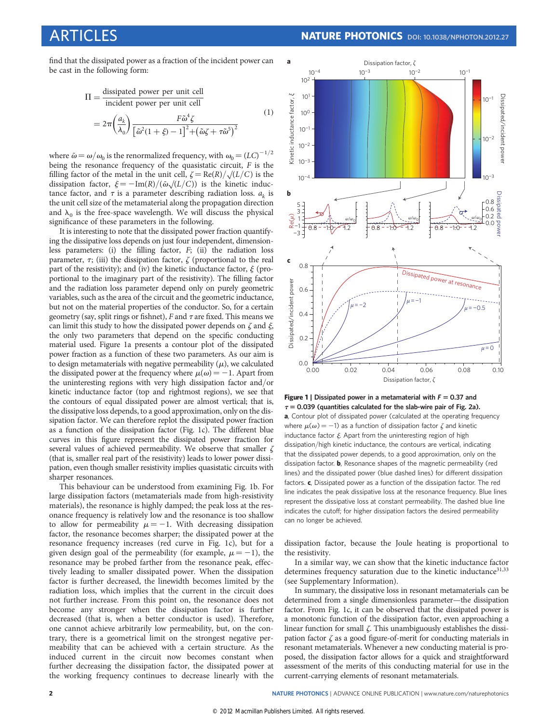find that the dissipated power as a fraction of the incident power can be cast in the following form:

$$
\Pi = \frac{\text{dissipated power per unit cell}}{\text{incident power per unit cell}} \n= 2\pi \left(\frac{a_k}{\lambda_0}\right) \frac{F\tilde{\omega}^4 \zeta}{\left[\tilde{\omega}^2(1+\xi)-1\right]^2 + \left(\tilde{\omega}\zeta + \tau\tilde{\omega}^5\right)^2}
$$
\n(1)

where  $\tilde{\omega} = \omega/\omega_0$  is the renormalized frequency, with  $\omega_0 = (LC)^{-1/2}$ being the resonance frequency of the quasistatic circuit, F is the being the resonance frequency of the quasistance circuit, F is the filling factor of the metal in the unit cell,  $\zeta = \text{Re}(R)/\sqrt{L/C}$  is the ming factor of the metal in the unit cell,  $\zeta = \text{Re}(\kappa)/\sqrt{L/\text{C}}$  is the dissipation factor,  $\xi = -\text{Im}(R)/(\tilde{\omega}\sqrt{L/\text{C}})$  is the kinetic inductance factor, and  $\tau$  is a parameter describing radiation loss.  $a_k$  is the unit cell size of the metamaterial along the propagation direction and  $\lambda_0$  is the free-space wavelength. We will discuss the physical significance of these parameters in the following.

It is interesting to note that the dissipated power fraction quantifying the dissipative loss depends on just four independent, dimensionless parameters: (i) the filling factor, F; (ii) the radiation loss parameter,  $\tau$ ; (iii) the dissipation factor,  $\zeta$  (proportional to the real part of the resistivity); and (iv) the kinetic inductance factor,  $\xi$  (proportional to the imaginary part of the resistivity). The filling factor and the radiation loss parameter depend only on purely geometric variables, such as the area of the circuit and the geometric inductance, but not on the material properties of the conductor. So, for a certain geometry (say, split rings or fishnet),  $F$  and  $\tau$  are fixed. This means we can limit this study to how the dissipated power depends on  $\zeta$  and  $\xi$ , the only two parameters that depend on the specific conducting material used. Figure 1a presents a contour plot of the dissipated power fraction as a function of these two parameters. As our aim is to design metamaterials with negative permeability  $(\mu)$ , we calculated the dissipated power at the frequency where  $\mu(\omega) = -1$ . Apart from the uninteresting regions with very high dissipation factor and/or kinetic inductance factor (top and rightmost regions), we see that the contours of equal dissipated power are almost vertical; that is, the dissipative loss depends, to a good approximation, only on the dissipation factor. We can therefore replot the dissipated power fraction as a function of the dissipation factor (Fig. 1c). The different blue curves in this figure represent the dissipated power fraction for several values of achieved permeability. We observe that smaller  $\zeta$ (that is, smaller real part of the resistivity) leads to lower power dissipation, even though smaller resistivity implies quasistatic circuits with sharper resonances.

This behaviour can be understood from examining Fig. 1b. For large dissipation factors (metamaterials made from high-resistivity materials), the resonance is highly damped; the peak loss at the resonance frequency is relatively low and the resonance is too shallow to allow for permeability  $\mu = -1$ . With decreasing dissipation factor, the resonance becomes sharper; the dissipated power at the resonance frequency increases (red curve in Fig. 1c), but for a given design goal of the permeability (for example,  $\mu = -1$ ), the resonance may be probed farther from the resonance peak, effectively leading to smaller dissipated power. When the dissipation factor is further decreased, the linewidth becomes limited by the radiation loss, which implies that the current in the circuit does not further increase. From this point on, the resonance does not become any stronger when the dissipation factor is further decreased (that is, when a better conductor is used). Therefore, one cannot achieve arbitrarily low permeability, but, on the contrary, there is a geometrical limit on the strongest negative permeability that can be achieved with a certain structure. As the induced current in the circuit now becomes constant when further decreasing the dissipation factor, the dissipated power at the working frequency continues to decrease linearly with the



Figure 1 | Dissipated power in a metamaterial with  $F = 0.37$  and  $\tau$  = 0.039 (quantities calculated for the slab-wire pair of Fig. 2a). a, Contour plot of dissipated power (calculated at the operating frequency where  $\mu(\omega) = -1$ ) as a function of dissipation factor  $\zeta$  and kinetic inductance factor  $\xi$ . Apart from the uninteresting region of high dissipation/high kinetic inductance, the contours are vertical, indicating that the dissipated power depends, to a good approximation, only on the dissipation factor. **b**, Resonance shapes of the magnetic permeability (red lines) and the dissipated power (blue dashed lines) for different dissipation factors.  $\mathbf c$ , Dissipated power as a function of the dissipation factor. The red line indicates the peak dissipative loss at the resonance frequency. Blue lines represent the dissipative loss at constant permeability. The dashed blue line indicates the cutoff; for higher dissipation factors the desired permeability can no longer be achieved.

dissipation factor, because the Joule heating is proportional to the resistivity.

In a similar way, we can show that the kinetic inductance factor determines frequency saturation due to the kinetic inductance<sup>31,33</sup> (see Supplementary Information).

In summary, the dissipative loss in resonant metamaterials can be determined from a single dimensionless parameter—the dissipation factor. From Fig. 1c, it can be observed that the dissipated power is a monotonic function of the dissipation factor, even approaching a linear function for small  $\zeta$ . This unambiguously establishes the dissipation factor  $\zeta$  as a good figure-of-merit for conducting materials in resonant metamaterials. Whenever a new conducting material is proposed, the dissipation factor allows for a quick and straightforward assessment of the merits of this conducting material for use in the current-carrying elements of resonant metamaterials.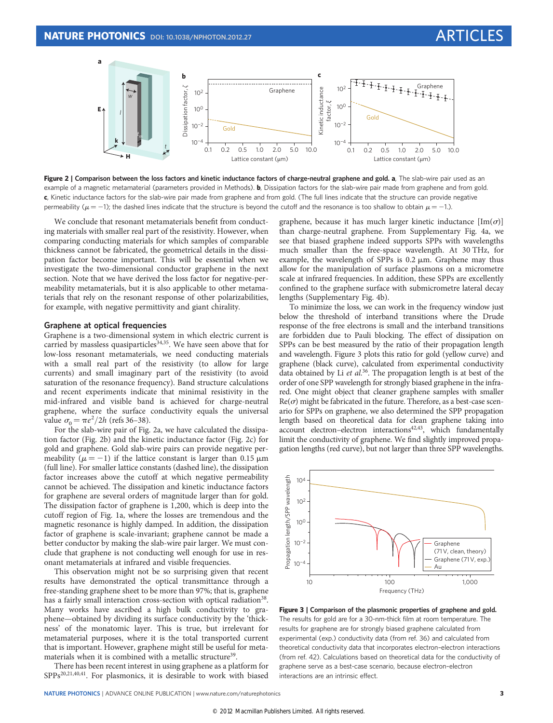

Figure 2 | Comparison between the loss factors and kinetic inductance factors of charge-neutral graphene and gold. a, The slab-wire pair used as an example of a magnetic metamaterial (parameters provided in Methods). **b**, Dissipation factors for the slab-wire pair made from graphene and from gold. c, Kinetic inductance factors for the slab-wire pair made from graphene and from gold. (The full lines indicate that the structure can provide negative permeability ( $\mu$  = -1); the dashed lines indicate that the structure is beyond the cutoff and the resonance is too shallow to obtain  $\mu$  = -1.).

We conclude that resonant metamaterials benefit from conducting materials with smaller real part of the resistivity. However, when comparing conducting materials for which samples of comparable thickness cannot be fabricated, the geometrical details in the dissipation factor become important. This will be essential when we investigate the two-dimensional conductor graphene in the next section. Note that we have derived the loss factor for negative-permeability metamaterials, but it is also applicable to other metamaterials that rely on the resonant response of other polarizabilities, for example, with negative permittivity and giant chirality.

## Graphene at optical frequencies

Graphene is a two-dimensional system in which electric current is carried by massless quasiparticles<sup>34,35</sup>. We have seen above that for low-loss resonant metamaterials, we need conducting materials with a small real part of the resistivity (to allow for large currents) and small imaginary part of the resistivity (to avoid saturation of the resonance frequency). Band structure calculations and recent experiments indicate that minimal resistivity in the mid-infrared and visible band is achieved for charge-neutral graphene, where the surface conductivity equals the universal value  $\sigma_0 = \pi e^2 / 2h$  (refs 36–38).

For the slab-wire pair of Fig. 2a, we have calculated the dissipation factor (Fig. 2b) and the kinetic inductance factor (Fig. 2c) for gold and graphene. Gold slab-wire pairs can provide negative permeability ( $\mu = -1$ ) if the lattice constant is larger than 0.15  $\mu$ m (full line). For smaller lattice constants (dashed line), the dissipation factor increases above the cutoff at which negative permeability cannot be achieved. The dissipation and kinetic inductance factors for graphene are several orders of magnitude larger than for gold. The dissipation factor of graphene is 1,200, which is deep into the cutoff region of Fig. 1a, where the losses are tremendous and the magnetic resonance is highly damped. In addition, the dissipation factor of graphene is scale-invariant; graphene cannot be made a better conductor by making the slab-wire pair larger. We must conclude that graphene is not conducting well enough for use in resonant metamaterials at infrared and visible frequencies.

This observation might not be so surprising given that recent results have demonstrated the optical transmittance through a free-standing graphene sheet to be more than 97%; that is, graphene has a fairly small interaction cross-section with optical radiation<sup>38</sup>. Many works have ascribed a high bulk conductivity to graphene—obtained by dividing its surface conductivity by the 'thickness' of the monatomic layer. This is true, but irrelevant for metamaterial purposes, where it is the total transported current that is important. However, graphene might still be useful for metamaterials when it is combined with a metallic structure<sup>39</sup>.

There has been recent interest in using graphene as a platform for SPPs<sup>20,21,40,41</sup>. For plasmonics, it is desirable to work with biased graphene, because it has much larger kinetic inductance  $[Im(\sigma)]$ than charge-neutral graphene. From Supplementary Fig. 4a, we see that biased graphene indeed supports SPPs with wavelengths much smaller than the free-space wavelength. At 30 THz, for example, the wavelength of SPPs is  $0.2 \mu m$ . Graphene may thus allow for the manipulation of surface plasmons on a micrometre scale at infrared frequencies. In addition, these SPPs are excellently confined to the graphene surface with submicrometre lateral decay lengths (Supplementary Fig. 4b).

To minimize the loss, we can work in the frequency window just below the threshold of interband transitions where the Drude response of the free electrons is small and the interband transitions are forbidden due to Pauli blocking. The effect of dissipation on SPPs can be best measured by the ratio of their propagation length and wavelength. Figure 3 plots this ratio for gold (yellow curve) and graphene (black curve), calculated from experimental conductivity data obtained by Li et  $al^{36}$ . The propagation length is at best of the order of one SPP wavelength for strongly biased graphene in the infrared. One might object that cleaner graphene samples with smaller  $Re(\sigma)$  might be fabricated in the future. Therefore, as a best-case scenario for SPPs on graphene, we also determined the SPP propagation length based on theoretical data for clean graphene taking into account electron-electron interactions<sup>42,43</sup>, which fundamentally limit the conductivity of graphene. We find slightly improved propaphene<br>
gation lengths (red cold<br>  $\frac{1}{2}$  is the signal of the signal of the signal of the signal of the signal of the signal of the signal of the signal of the signal of the signal of the signal of the signal of the sig



Figure 3 | Comparison of the plasmonic properties of graphene and gold. The results for gold are for a 30-nm-thick film at room temperature. The results for graphene are for strongly biased graphene calculated from experimental (exp.) conductivity data (from ref. 36) and calculated from theoretical conductivity data that incorporates electron–electron interactions (from ref. 42). Calculations based on theoretical data for the conductivity of graphene serve as a best-case scenario, because electron–electron interactions are an intrinsic effect.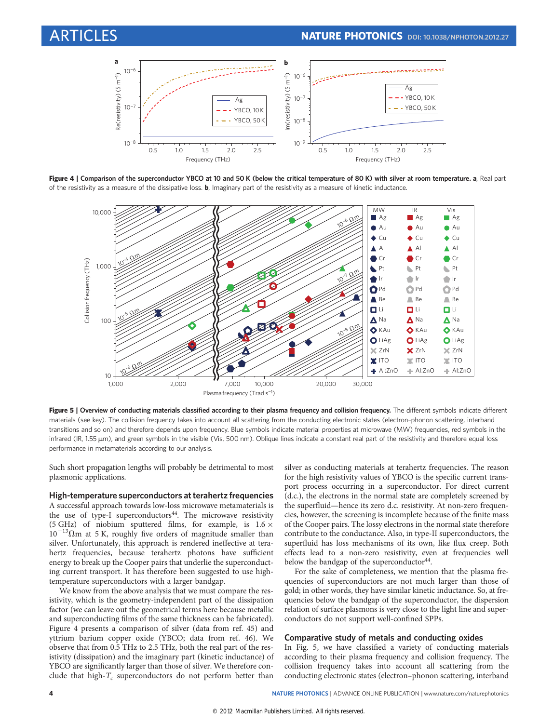

Figure 4 | Comparison of the superconductor YBCO at 10 and 50 K (below the critical temperature of 80 K) with silver at room temperature. a, Real part of the resistivity as a measure of the dissipative loss. b, Imaginary part of the resistivity as a measure of kinetic inductance.



Figure 5 | Overview of conducting materials classified according to their plasma frequency and collision frequency. The different symbols indicate different materials (see key). The collision frequency takes into account all scattering from the conducting electronic states (electron–phonon scattering, interband transitions and so on) and therefore depends upon frequency. Blue symbols indicate material properties at microwave (MW) frequencies, red symbols in the infrared (IR, 1.55 µm), and green symbols in the visible (Vis, 500 nm). Oblique lines indicate a constant real part of the resistivity and therefore equal loss performance in metamaterials according to our analysis.

Such short propagation lengths will probably be detrimental to most plasmonic applications.

High-temperature superconductors at terahertz frequencies A successful approach towards low-loss microwave metamaterials is the use of type-I superconductors $44$ . The microwave resistivity (5 GHz) of niobium sputtered films, for example, is  $1.6 \times$  $10^{-13}$  $\Omega$ m at 5 K, roughly five orders of magnitude smaller than silver. Unfortunately, this approach is rendered ineffective at terahertz frequencies, because terahertz photons have sufficient energy to break up the Cooper pairs that underlie the superconducting current transport. It has therefore been suggested to use hightemperature superconductors with a larger bandgap.

We know from the above analysis that we must compare the resistivity, which is the geometry-independent part of the dissipation factor (we can leave out the geometrical terms here because metallic and superconducting films of the same thickness can be fabricated). Figure 4 presents a comparison of silver (data from ref. 45) and yttrium barium copper oxide (YBCO; data from ref. 46). We observe that from 0.5 THz to 2.5 THz, both the real part of the resistivity (dissipation) and the imaginary part (kinetic inductance) of YBCO are significantly larger than those of silver. We therefore conclude that high- $T_c$  superconductors do not perform better than

silver as conducting materials at terahertz frequencies. The reason for the high resistivity values of YBCO is the specific current transport process occurring in a superconductor. For direct current (d.c.), the electrons in the normal state are completely screened by the superfluid—hence its zero d.c. resistivity. At non-zero frequencies, however, the screening is incomplete because of the finite mass of the Cooper pairs. The lossy electrons in the normal state therefore contribute to the conductance. Also, in type-II superconductors, the superfluid has loss mechanisms of its own, like flux creep. Both effects lead to a non-zero resistivity, even at frequencies well below the bandgap of the superconductor<sup>44</sup>.

For the sake of completeness, we mention that the plasma frequencies of superconductors are not much larger than those of gold; in other words, they have similar kinetic inductance. So, at frequencies below the bandgap of the superconductor, the dispersion relation of surface plasmons is very close to the light line and superconductors do not support well-confined SPPs.

## Comparative study of metals and conducting oxides

In Fig. 5, we have classified a variety of conducting materials according to their plasma frequency and collision frequency. The collision frequency takes into account all scattering from the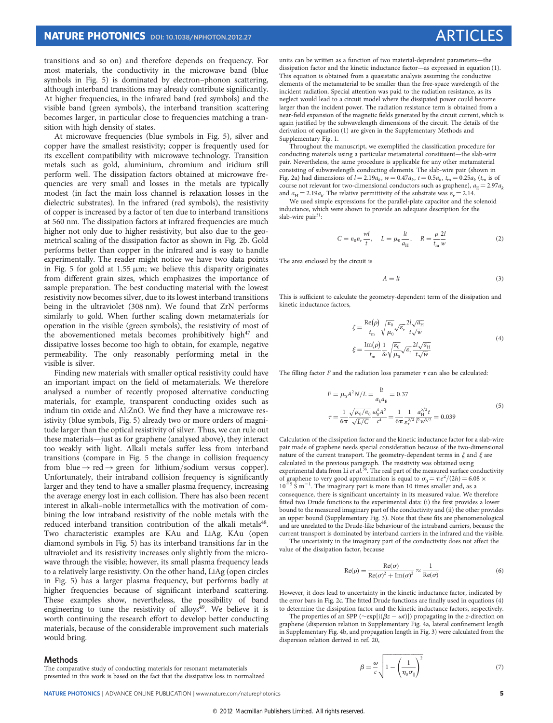<span id="page-4-0"></span>transitions and so on) and therefore depends on frequency. For most materials, the conductivity in the microwave band (blue symbols in Fig. 5) is dominated by electron–phonon scattering, although interband transitions may already contribute significantly. At higher frequencies, in the infrared band (red symbols) and the visible band (green symbols), the interband transition scattering becomes larger, in particular close to frequencies matching a transition with high density of states.

At microwave frequencies (blue symbols in Fig. 5), silver and copper have the smallest resistivity; copper is frequently used for its excellent compatibility with microwave technology. Transition metals such as gold, aluminium, chromium and iridium still perform well. The dissipation factors obtained at microwave frequencies are very small and losses in the metals are typically modest (in fact the main loss channel is relaxation losses in the dielectric substrates). In the infrared (red symbols), the resistivity of copper is increased by a factor of ten due to interband transitions at 560 nm. The dissipation factors at infrared frequencies are much higher not only due to higher resistivity, but also due to the geometrical scaling of the dissipation factor as shown in Fig. 2b. Gold performs better than copper in the infrared and is easy to handle experimentally. The reader might notice we have two data points in Fig. 5 for gold at  $1.55 \mu m$ ; we believe this disparity originates from different grain sizes, which emphasizes the importance of sample preparation. The best conducting material with the lowest resistivity now becomes silver, due to its lowest interband transitions being in the ultraviolet (308 nm). We found that ZrN performs similarly to gold. When further scaling down metamaterials for operation in the visible (green symbols), the resistivity of most of the abovementioned metals becomes prohibitively high<sup>47</sup> and dissipative losses become too high to obtain, for example, negative permeability. The only reasonably performing metal in the visible is silver.

Finding new materials with smaller optical resistivity could have an important impact on the field of metamaterials. We therefore analysed a number of recently proposed alternative conducting materials, for example, transparent conducting oxides such as indium tin oxide and Al:ZnO. We find they have a microwave resistivity (blue symbols, Fig. 5) already two or more orders of magnitude larger than the optical resistivity of silver. Thus, we can rule out these materials—just as for graphene (analysed above), they interact too weakly with light. Alkali metals suffer less from interband transitions (compare in Fig. 5 the change in collision frequency from blue  $\rightarrow$  red  $\rightarrow$  green for lithium/sodium versus copper). Unfortunately, their intraband collision frequency is significantly larger and they tend to have a smaller plasma frequency, increasing the average energy lost in each collision. There has also been recent interest in alkali–noble intermetallics with the motivation of combining the low intraband resistivity of the noble metals with the reduced interband transition contribution of the alkali metals<sup>48</sup>. Two characteristic examples are KAu and LiAg. KAu (open diamond symbols in Fig. 5) has its interband transitions far in the ultraviolet and its resistivity increases only slightly from the microwave through the visible; however, its small plasma frequency leads to a relatively large resistivity. On the other hand, LiAg (open circles in Fig. 5) has a larger plasma frequency, but performs badly at higher frequencies because of significant interband scattering. These examples show, nevertheless, the possibility of band engineering to tune the resistivity of alloys<sup>49</sup>. We believe it is worth continuing the research effort to develop better conducting materials, because of the considerable improvement such materials would bring.

units can be written as a function of two material-dependent parameters—the dissipation factor and the kinetic inductance factor—as expressed in equation (1). This equation is obtained from a quasistatic analysis assuming the conductive elements of the metamaterial to be smaller than the free-space wavelength of the incident radiation. Special attention was paid to the radiation resistance, as its neglect would lead to a circuit model where the dissipated power could become larger than the incident power. The radiation resistance term is obtained from a near-field expansion of the magnetic fields generated by the circuit current, which is again justified by the subwavelength dimensions of the circuit. The details of the derivation of equation (1) are given in the Supplementary Methods and Supplementary Fig. 1.

Throughout the manuscript, we exemplified the classification procedure for conducting materials using a particular metamaterial constituent—the slab-wire pair. Nevertheless, the same procedure is applicable for any other metamaterial consisting of subwavelength conducting elements. The slab-wire pair (shown in Fig. 2a) had dimensions of  $l = 2.19a_k$ ,  $w = 0.47a_k$ ,  $t = 0.5a_k$ ,  $t_m = 0.25a_k$  ( $t_m$  is of course not relevant for two-dimensional conductors such as graphene),  $a<sub>F</sub> = 2.97a<sub>k</sub>$ and  $a_H = 2.19a_k$ . The relative permittivity of the substrate was  $\varepsilon_r = 2.14$ .

We used simple expressions for the parallel-plate capacitor and the solenoid inductance, which were shown to provide an adequate description for the slab-wire pair<sup>31</sup>:

$$
C = \varepsilon_0 \varepsilon_r \frac{wl}{t}, \quad L = \mu_0 \frac{lt}{a_H}, \quad R = \frac{\rho}{t_m} \frac{2l}{w}
$$
 (2)

The area enclosed by the circuit is

$$
A = lt
$$
 (3)

This is sufficient to calculate the geometry-dependent term of the dissipation and kinetic inductance factors,

$$
\zeta = \frac{\text{Re}(\rho)}{t_{\text{m}}} \sqrt{\frac{\varepsilon_0}{\mu_0}} \sqrt{\varepsilon_r} \frac{2l\sqrt{a_{\text{H}}}}{t\sqrt{w}}
$$
\n
$$
\xi = \frac{\text{Im}(\rho)}{t_{\text{m}}} \frac{1}{\tilde{\omega}} \sqrt{\frac{\varepsilon_0}{\mu_0}} \sqrt{\varepsilon_r} \frac{2l\sqrt{a_{\text{H}}}}{t\sqrt{w}}
$$
\n(4)

The filling factor  $F$  and the radiation loss parameter  $\tau$  can also be calculated:

$$
F = \mu_0 A^2 N / L = \frac{lt}{a_k a_E} = 0.37
$$
  

$$
\tau = \frac{1}{6\pi} \frac{\sqrt{\mu_0/\varepsilon_0}}{\sqrt{L/C}} \frac{\omega_0^4 A^2}{c^4} = \frac{1}{6\pi} \frac{1}{\varepsilon_1^{3/2}} \frac{a_H^{5/2} t}{l^2 w^{3/2}} = 0.039
$$
 (5)

Calculation of the dissipation factor and the kinetic inductance factor for a slab-wire pair made of graphene needs special consideration because of the two-dimensional nature of the current transport. The geometry-dependent terms in  $\zeta$  and  $\xi$  are calculated in the previous paragraph. The resistivity was obtained using<br>experimental data from Li *et al.<sup>36</sup>.* The real part of the measured surface conductivity of graphene to very good approximation is equal to  $\sigma_0 = \pi e^2/(2h) = 6.08 \times 10^{-5}$  $10^{-5}$  S m<sup>-1</sup>. The imaginary part is more than 10 times smaller and, as a consequence, there is significant uncertainty in its measured value. We therefore fitted two Drude functions to the experimental data: (i) the first provides a lower bound to the measured imaginary part of the conductivity and (ii) the other provides an upper bound (Supplementary Fig. 3). Note that these fits are phenomenological and are unrelated to the Drude-like behaviour of the intraband carriers, because the current transport is dominated by interband carriers in the infrared and the visible.

The uncertainty in the imaginary part of the conductivity does not affect the value of the dissipation factor, because

$$
Re(\rho) = \frac{Re(\sigma)}{Re(\sigma)^2 + Im(\sigma)^2} \approx \frac{1}{Re(\sigma)}
$$
(6)

However, it does lead to uncertainty in the kinetic inductance factor, indicated by the error bars in Fig. 2c. The fitted Drude functions are finally used in equations (4) to determine the dissipation factor and the kinetic inductance factors, respectively.

The properties of an SPP ( $\sim$ exp[i( $\beta z - \omega t$ )]) propagating in the z-direction on graphene (dispersion relation in Supplementary Fig. 4a, lateral confinement length in Supplementary Fig. 4b, and propagation length in Fig. 3) were calculated from the dispersion relation derived in ref. 20,

## Methods

The comparative study of conducting materials for resonant metamaterials presented in this work is based on the fact that the dissipative loss in normalized

$$
\beta = \frac{\omega}{c} \sqrt{1 - \left(\frac{1}{\eta_0 \sigma_{||}}\right)^2} \tag{7}
$$